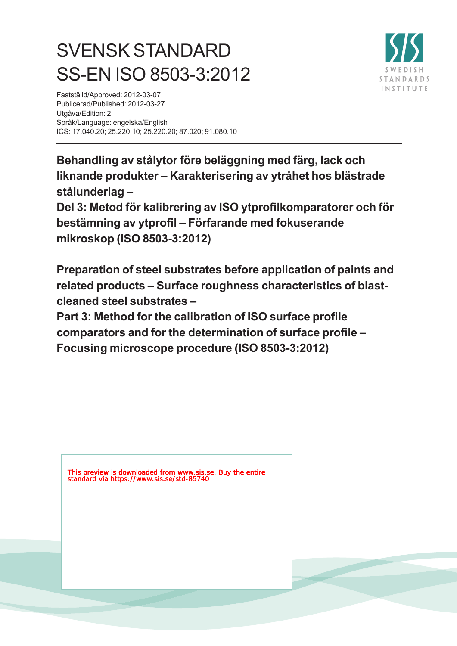# SVENSK STANDARD SS-EN ISO 8503-3:2012



Fastställd/Approved: 2012-03-07 Publicerad/Published: 2012-03-27 Utgåva/Edition: 2 Språk/Language: engelska/English ICS: 17.040.20; 25.220.10; 25.220.20; 87.020; 91.080.10

**Behandling av stålytor före beläggning med färg, lack och liknande produkter – Karakterisering av ytråhet hos blästrade stålunderlag –** 

**Del 3: Metod för kalibrering av ISO ytprofilkomparatorer och för bestämning av ytprofil – Förfarande med fokuserande mikroskop (ISO 8503-3:2012)**

**Preparation of steel substrates before application of paints and related products – Surface roughness characteristics of blastcleaned steel substrates –** 

**Part 3: Method for the calibration of ISO surface profile comparators and for the determination of surface profile – Focusing microscope procedure (ISO 8503-3:2012)**

This preview is downloaded from www.sis.se. Buy the entire standard via https://www.sis.se/std-85740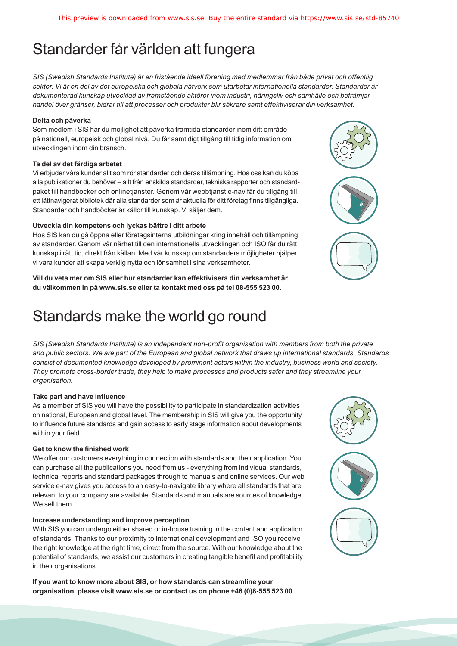# Standarder får världen att fungera

*SIS (Swedish Standards Institute) är en fristående ideell förening med medlemmar från både privat och offentlig sektor. Vi är en del av det europeiska och globala nätverk som utarbetar internationella standarder. Standarder är dokumenterad kunskap utvecklad av framstående aktörer inom industri, näringsliv och samhälle och befrämjar handel över gränser, bidrar till att processer och produkter blir säkrare samt effektiviserar din verksamhet.* 

#### **Delta och påverka**

Som medlem i SIS har du möjlighet att påverka framtida standarder inom ditt område på nationell, europeisk och global nivå. Du får samtidigt tillgång till tidig information om utvecklingen inom din bransch.

#### **Ta del av det färdiga arbetet**

Vi erbjuder våra kunder allt som rör standarder och deras tillämpning. Hos oss kan du köpa alla publikationer du behöver – allt från enskilda standarder, tekniska rapporter och standardpaket till handböcker och onlinetjänster. Genom vår webbtjänst e-nav får du tillgång till ett lättnavigerat bibliotek där alla standarder som är aktuella för ditt företag finns tillgängliga. Standarder och handböcker är källor till kunskap. Vi säljer dem.

#### **Utveckla din kompetens och lyckas bättre i ditt arbete**

Hos SIS kan du gå öppna eller företagsinterna utbildningar kring innehåll och tillämpning av standarder. Genom vår närhet till den internationella utvecklingen och ISO får du rätt kunskap i rätt tid, direkt från källan. Med vår kunskap om standarders möjligheter hjälper vi våra kunder att skapa verklig nytta och lönsamhet i sina verksamheter.

**Vill du veta mer om SIS eller hur standarder kan effektivisera din verksamhet är du välkommen in på www.sis.se eller ta kontakt med oss på tel 08-555 523 00.**

# Standards make the world go round

*SIS (Swedish Standards Institute) is an independent non-profit organisation with members from both the private and public sectors. We are part of the European and global network that draws up international standards. Standards consist of documented knowledge developed by prominent actors within the industry, business world and society. They promote cross-border trade, they help to make processes and products safer and they streamline your organisation.*

#### **Take part and have influence**

As a member of SIS you will have the possibility to participate in standardization activities on national, European and global level. The membership in SIS will give you the opportunity to influence future standards and gain access to early stage information about developments within your field.

#### **Get to know the finished work**

We offer our customers everything in connection with standards and their application. You can purchase all the publications you need from us - everything from individual standards, technical reports and standard packages through to manuals and online services. Our web service e-nav gives you access to an easy-to-navigate library where all standards that are relevant to your company are available. Standards and manuals are sources of knowledge. We sell them.

#### **Increase understanding and improve perception**

With SIS you can undergo either shared or in-house training in the content and application of standards. Thanks to our proximity to international development and ISO you receive the right knowledge at the right time, direct from the source. With our knowledge about the potential of standards, we assist our customers in creating tangible benefit and profitability in their organisations.

**If you want to know more about SIS, or how standards can streamline your organisation, please visit www.sis.se or contact us on phone +46 (0)8-555 523 00**



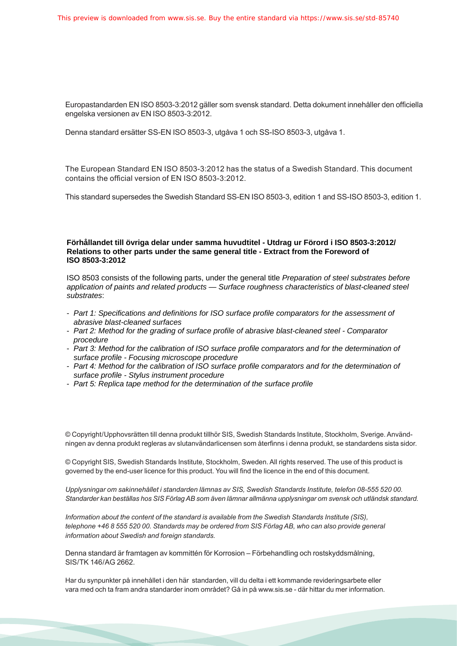Europastandarden EN ISO 8503-3:2012 gäller som svensk standard. Detta dokument innehåller den officiella engelska versionen av EN ISO 8503-3:2012.

Denna standard ersätter SS-EN ISO 8503-3, utgåva 1 och SS-ISO 8503-3, utgåva 1.

The European Standard EN ISO 8503-3:2012 has the status of a Swedish Standard. This document contains the official version of EN ISO 8503-3:2012.

This standard supersedes the Swedish Standard SS-EN ISO 8503-3, edition 1 and SS-ISO 8503-3, edition 1.

#### **Förhållandet till övriga delar under samma huvudtitel - Utdrag ur Förord i ISO 8503-3:2012/ Relations to other parts under the same general title - Extract from the Foreword of ISO 8503-3:2012**

ISO 8503 consists of the following parts, under the general title *Preparation of steel substrates before application of paints and related products — Surface roughness characteristics of blast-cleaned steel substrates*:

- *Part 1: Specifications and definitions for ISO surface profile comparators for the assessment of abrasive blast-cleaned surfaces*
- *Part 2: Method for the grading of surface profile of abrasive blast-cleaned steel Comparator procedure*
- Part 3: Method for the calibration of ISO surface profile comparators and for the determination of *surface profile - Focusing microscope procedure*
- Part 4: Method for the calibration of ISO surface profile comparators and for the determination of *surface profile - Stylus instrument procedure*
- *Part 5: Replica tape method for the determination of the surface profile*

© Copyright/Upphovsrätten till denna produkt tillhör SIS, Swedish Standards Institute, Stockholm, Sverige. Användningen av denna produkt regleras av slutanvändarlicensen som återfinns i denna produkt, se standardens sista sidor.

© Copyright SIS, Swedish Standards Institute, Stockholm, Sweden. All rights reserved. The use of this product is governed by the end-user licence for this product. You will find the licence in the end of this document.

*Upplysningar om sakinnehållet i standarden lämnas av SIS, Swedish Standards Institute, telefon 08-555 520 00. Standarder kan beställas hos SIS Förlag AB som även lämnar allmänna upplysningar om svensk och utländsk standard.*

*Information about the content of the standard is available from the Swedish Standards Institute (SIS), telephone +46 8 555 520 00. Standards may be ordered from SIS Förlag AB, who can also provide general information about Swedish and foreign standards.*

Denna standard är framtagen av kommittén för Korrosion – Förbehandling och rostskyddsmålning, SIS/TK 146/AG 2662.

Har du synpunkter på innehållet i den här standarden, vill du delta i ett kommande revideringsarbete eller vara med och ta fram andra standarder inom området? Gå in på www.sis.se - där hittar du mer information.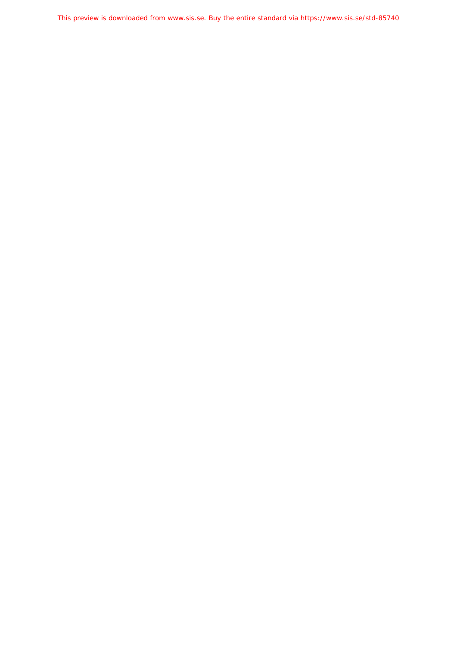This preview is downloaded from www.sis.se. Buy the entire standard via https://www.sis.se/std-85740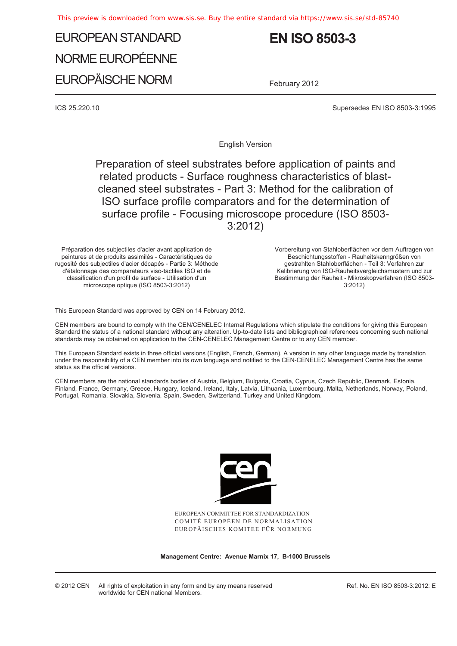# EUROPEAN STANDARD NORME EUROPÉENNE EUROPÄISCHE NORM

## **EN ISO 8503-3**

February 2012

ICS 25.220.10 Supersedes EN ISO 8503-3:1995

English Version

 Preparation of steel substrates before application of paints and related products - Surface roughness characteristics of blastcleaned steel substrates - Part 3: Method for the calibration of ISO surface profile comparators and for the determination of surface profile - Focusing microscope procedure (ISO 8503- 3:2012)

Préparation des subjectiles d'acier avant application de peintures et de produits assimilés - Caractéristiques de rugosité des subjectiles d'acier décapés - Partie 3: Méthode d'étalonnage des comparateurs viso-tactiles ISO et de classification d'un profil de surface - Utilisation d'un microscope optique (ISO 8503-3:2012)

 Vorbereitung von Stahloberflächen vor dem Auftragen von Beschichtungsstoffen - Rauheitskenngrößen von gestrahlten Stahloberflächen - Teil 3: Verfahren zur Kalibrierung von ISO-Rauheitsvergleichsmustern und zur Bestimmung der Rauheit - Mikroskopverfahren (ISO 8503- 3:2012)

This European Standard was approved by CEN on 14 February 2012.

CEN members are bound to comply with the CEN/CENELEC Internal Regulations which stipulate the conditions for giving this European Standard the status of a national standard without any alteration. Up-to-date lists and bibliographical references concerning such national standards may be obtained on application to the CEN-CENELEC Management Centre or to any CEN member.

This European Standard exists in three official versions (English, French, German). A version in any other language made by translation under the responsibility of a CEN member into its own language and notified to the CEN-CENELEC Management Centre has the same status as the official versions.

CEN members are the national standards bodies of Austria, Belgium, Bulgaria, Croatia, Cyprus, Czech Republic, Denmark, Estonia, Finland, France, Germany, Greece, Hungary, Iceland, Ireland, Italy, Latvia, Lithuania, Luxembourg, Malta, Netherlands, Norway, Poland, Portugal, Romania, Slovakia, Slovenia, Spain, Sweden, Switzerland, Turkey and United Kingdom.



EUROPEAN COMMITTEE FOR STANDARDIZATION COMITÉ EUROPÉEN DE NORMALISATION EUROPÄISCHES KOMITEE FÜR NORMUNG

**Management Centre: Avenue Marnix 17, B-1000 Brussels** 

© 2012 CEN All rights of exploitation in any form and by any means reserved worldwide for CEN national Members.

Ref. No. EN ISO 8503-3:2012: E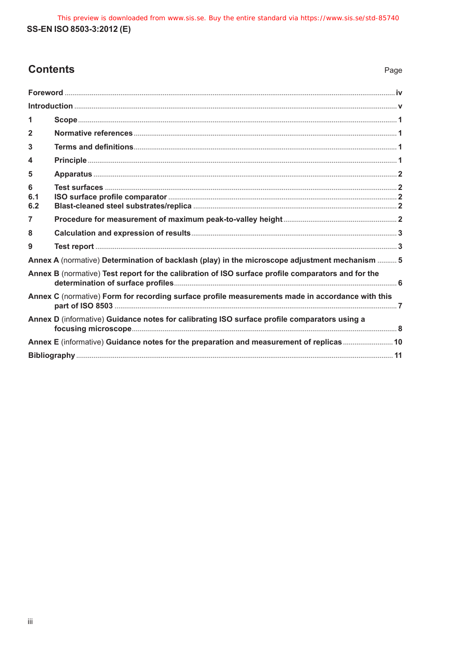### **Contents**

### Page

| 1                |                                                                                                    |  |
|------------------|----------------------------------------------------------------------------------------------------|--|
| $\mathbf{2}$     |                                                                                                    |  |
| 3                |                                                                                                    |  |
| $\boldsymbol{4}$ |                                                                                                    |  |
| 5                |                                                                                                    |  |
| 6                |                                                                                                    |  |
| 6.1<br>6.2       |                                                                                                    |  |
| $\overline{7}$   |                                                                                                    |  |
| 8                |                                                                                                    |  |
| 9                |                                                                                                    |  |
|                  | Annex A (normative) Determination of backlash (play) in the microscope adjustment mechanism  5     |  |
|                  | Annex B (normative) Test report for the calibration of ISO surface profile comparators and for the |  |
|                  | Annex C (normative) Form for recording surface profile measurements made in accordance with this   |  |
|                  | Annex D (informative) Guidance notes for calibrating ISO surface profile comparators using a       |  |
|                  | Annex E (informative) Guidance notes for the preparation and measurement of replicas 10            |  |
|                  |                                                                                                    |  |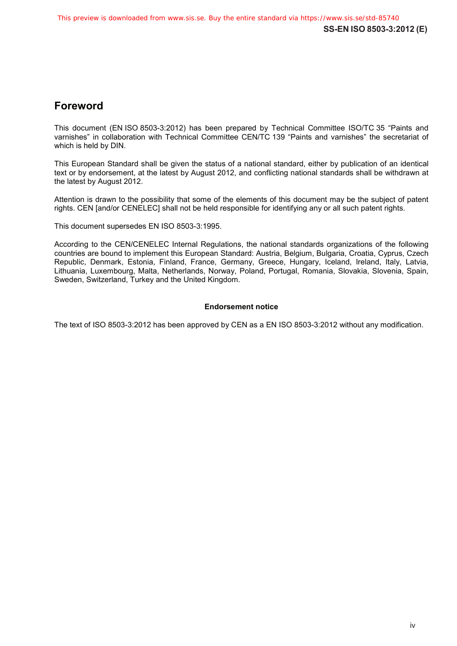### **Foreword**

This document (EN ISO 8503-3:2012) has been prepared by Technical Committee ISO/TC 35 "Paints and varnishes" in collaboration with Technical Committee CEN/TC 139 "Paints and varnishes" the secretariat of which is held by DIN.

This European Standard shall be given the status of a national standard, either by publication of an identical text or by endorsement, at the latest by August 2012, and conflicting national standards shall be withdrawn at the latest by August 2012.

Attention is drawn to the possibility that some of the elements of this document may be the subject of patent rights. CEN [and/or CENELEC] shall not be held responsible for identifying any or all such patent rights.

This document supersedes EN ISO 8503-3:1995.

According to the CEN/CENELEC Internal Regulations, the national standards organizations of the following countries are bound to implement this European Standard: Austria, Belgium, Bulgaria, Croatia, Cyprus, Czech Republic, Denmark, Estonia, Finland, France, Germany, Greece, Hungary, Iceland, Ireland, Italy, Latvia, Lithuania, Luxembourg, Malta, Netherlands, Norway, Poland, Portugal, Romania, Slovakia, Slovenia, Spain, Sweden, Switzerland, Turkey and the United Kingdom.

### **Endorsement notice**

The text of ISO 8503-3:2012 has been approved by CEN as a EN ISO 8503-3:2012 without any modification.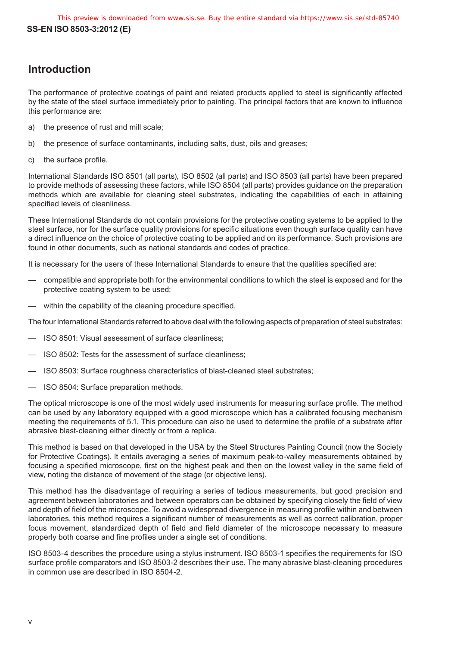### **Introduction**

The performance of protective coatings of paint and related products applied to steel is significantly affected by the state of the steel surface immediately prior to painting. The principal factors that are known to influence this performance are:

- a) the presence of rust and mill scale;
- b) the presence of surface contaminants, including salts, dust, oils and greases;
- c) the surface profile.

International Standards ISO 8501 (all parts), ISO 8502 (all parts) and ISO 8503 (all parts) have been prepared to provide methods of assessing these factors, while ISO 8504 (all parts) provides guidance on the preparation methods which are available for cleaning steel substrates, indicating the capabilities of each in attaining specified levels of cleanliness.

These International Standards do not contain provisions for the protective coating systems to be applied to the steel surface, nor for the surface quality provisions for specific situations even though surface quality can have a direct influence on the choice of protective coating to be applied and on its performance. Such provisions are found in other documents, such as national standards and codes of practice.

It is necessary for the users of these International Standards to ensure that the qualities specified are:

- compatible and appropriate both for the environmental conditions to which the steel is exposed and for the protective coating system to be used;
- within the capability of the cleaning procedure specified.

The four International Standards referred to above deal with the following aspects of preparation of steel substrates:

- ISO 8501: Visual assessment of surface cleanliness;
- ISO 8502: Tests for the assessment of surface cleanliness;
- ISO 8503: Surface roughness characteristics of blast-cleaned steel substrates;
- ISO 8504: Surface preparation methods.

The optical microscope is one of the most widely used instruments for measuring surface profile. The method can be used by any laboratory equipped with a good microscope which has a calibrated focusing mechanism meeting the requirements of 5.1. This procedure can also be used to determine the profile of a substrate after abrasive blast-cleaning either directly or from a replica.

This method is based on that developed in the USA by the Steel Structures Painting Council (now the Society for Protective Coatings). lt entails averaging a series of maximum peak-to-valley measurements obtained by focusing a specified microscope, first on the highest peak and then on the lowest valley in the same field of view, noting the distance of movement of the stage (or objective lens).

This method has the disadvantage of requiring a series of tedious measurements, but good precision and agreement between laboratories and between operators can be obtained by specifying closely the field of view and depth of field of the microscope. To avoid a widespread divergence in measuring profile within and between laboratories, this method requires a significant number of measurements as well as correct calibration, proper focus movement, standardized depth of field and field diameter of the microscope necessary to measure properly both coarse and fine profiles under a single set of conditions.

ISO 8503-4 describes the procedure using a stylus instrument. ISO 8503-1 specifies the requirements for ISO surface profile comparators and ISO 8503-2 describes their use. The many abrasive blast-cleaning procedures in common use are described in ISO 8504-2.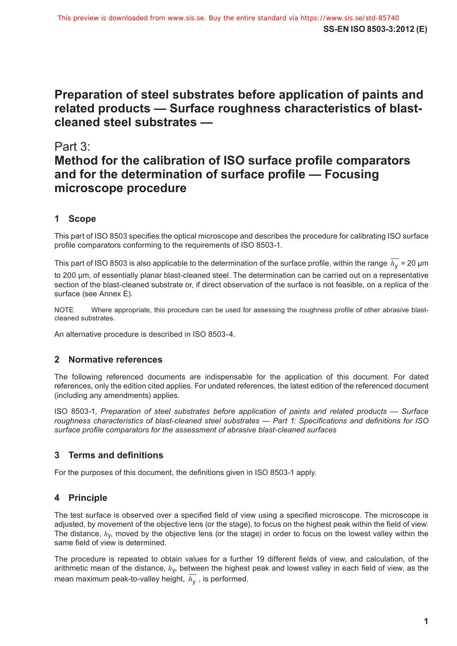### **Preparation of steel substrates before application of paints and related products — Surface roughness characteristics of blastcleaned steel substrates —**

### Part 3:

### **Method for the calibration of ISO surface profile comparators and for the determination of surface profile — Focusing microscope procedure**

### **1 Scope**

This part of ISO 8503 specifies the optical microscope and describes the procedure for calibrating ISO surface profile comparators conforming to the requirements of ISO 8503-1.

This part of ISO 8503 is also applicable to the determination of the surface profile, within the range  $h<sub>V</sub>$  = 20 µm to 200 μm, of essentially planar blast-cleaned steel. The determination can be carried out on a representative section of the blast-cleaned substrate or, if direct observation of the surface is not feasible, on a replica of the surface (see Annex E).

NOTE Where appropriate, this procedure can be used for assessing the roughness profile of other abrasive blastcleaned substrates.

An alternative procedure is described in ISO 8503-4.

### **2 Normative references**

The following referenced documents are indispensable for the application of this document. For dated references, only the edition cited applies. For undated references, the latest edition of the referenced document (including any amendments) applies.

ISO 8503-1, *Preparation of steel substrates before application of paints and related products — Surface roughness characteristics of blast-cleaned steel substrates — Part 1: Specifications and definitions for ISO surface profile comparators for the assessment of abrasive blast-cleaned surfaces*

### **3 Terms and definitions**

For the purposes of this document, the definitions given in ISO 8503-1 apply.

### **4 Principle**

The test surface is observed over a specified field of view using a specified microscope. The microscope is adjusted, by movement of the objective lens (or the stage), to focus on the highest peak within the field of view. The distance, *h*y, moved by the objective lens (or the stage) in order to focus on the lowest valley within the same field of view is determined.

The procedure is repeated to obtain values for a further 19 different fields of view, and calculation, of the arithmetic mean of the distance, *h*y, between the highest peak and lowest valley in each field of view, as the mean maximum peak-to-valley height,  $\overline{h_v}$ , is performed.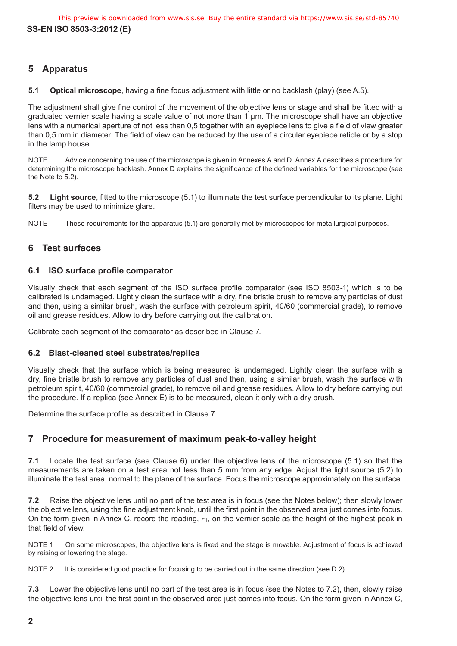### **5 Apparatus**

**5.1 Optical microscope**, having a fine focus adjustment with little or no backlash (play) (see A.5).

The adjustment shall give fine control of the movement of the objective lens or stage and shall be fitted with a graduated vernier scale having a scale value of not more than 1 μm. The microscope shall have an objective lens with a numerical aperture of not less than 0,5 together with an eyepiece lens to give a field of view greater than 0,5 mm in diameter. The field of view can be reduced by the use of a circular eyepiece reticle or by a stop in the lamp house.

NOTE Advice concerning the use of the microscope is given in Annexes A and D. Annex A describes a procedure for determining the microscope backlash. Annex D explains the significance of the defined variables for the microscope (see the Note to 5.2).

**5.2 Light source**, fitted to the microscope (5.1) to illuminate the test surface perpendicular to its plane. Light filters may be used to minimize glare.

NOTE These requirements for the apparatus (5.1) are generally met by microscopes for metallurgical purposes.

### **6 Test surfaces**

### **6.1 ISO surface profile comparator**

Visually check that each segment of the ISO surface profile comparator (see ISO 8503-1) which is to be calibrated is undamaged. Lightly clean the surface with a dry, fine bristle brush to remove any particles of dust and then, using a similar brush, wash the surface with petroleum spirit, 40/60 (commercial grade), to remove oil and grease residues. Allow to dry before carrying out the calibration.

Calibrate each segment of the comparator as described in Clause 7.

### **6.2 Blast-cleaned steel substrates/replica**

Visually check that the surface which is being measured is undamaged. Lightly clean the surface with a dry, fine bristle brush to remove any particles of dust and then, using a similar brush, wash the surface with petroleum spirit, 40/60 (commercial grade), to remove oil and grease residues. Allow to dry before carrying out the procedure. If a replica (see Annex E) is to be measured, clean it only with a dry brush.

Determine the surface profile as described in Clause 7.

### **7 Procedure for measurement of maximum peak-to-valley height**

**7.1** Locate the test surface (see Clause 6) under the objective lens of the microscope (5.1) so that the measurements are taken on a test area not less than 5 mm from any edge. Adjust the light source (5.2) to illuminate the test area, normal to the plane of the surface. Focus the microscope approximately on the surface.

**7.2** Raise the objective lens until no part of the test area is in focus (see the Notes below); then slowly lower the objective lens, using the fine adjustment knob, until the first point in the observed area just comes into focus. On the form given in Annex C, record the reading, *r*1, on the vernier scale as the height of the highest peak in that field of view.

NOTE 1 On some microscopes, the objective lens is fixed and the stage is movable. Adjustment of focus is achieved by raising or lowering the stage.

NOTE 2 It is considered good practice for focusing to be carried out in the same direction (see D.2).

**7.3** Lower the objective lens until no part of the test area is in focus (see the Notes to 7.2), then, slowly raise the objective lens until the first point in the observed area just comes into focus. On the form given in Annex C,